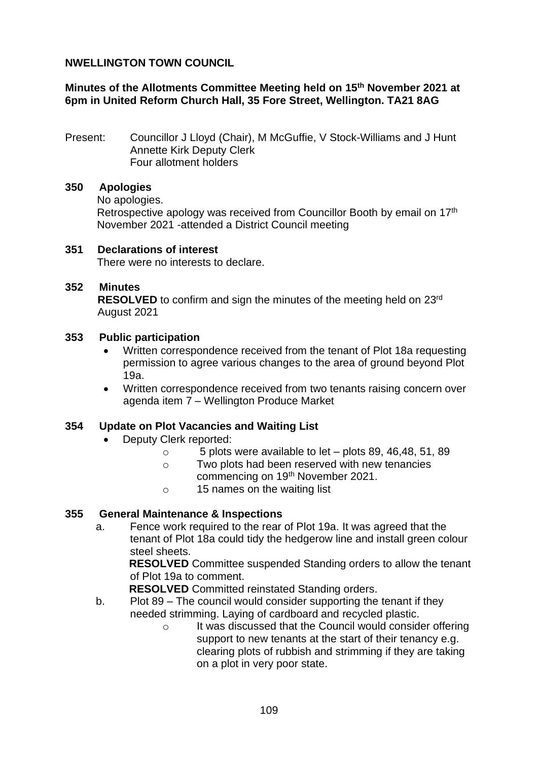# **NWELLINGTON TOWN COUNCIL**

# **Minutes of the Allotments Committee Meeting held on 15th November 2021 at 6pm in United Reform Church Hall, 35 Fore Street, Wellington. TA21 8AG**

Present: Councillor J Lloyd (Chair), M McGuffie, V Stock-Williams and J Hunt Annette Kirk Deputy Clerk Four allotment holders

# **350 Apologies**

No apologies.

Retrospective apology was received from Councillor Booth by email on 17<sup>th</sup> November 2021 -attended a District Council meeting

**351 Declarations of interest** There were no interests to declare.

# **352 Minutes**

**RESOLVED** to confirm and sign the minutes of the meeting held on 23rd August 2021

### **353 Public participation**

- Written correspondence received from the tenant of Plot 18a requesting permission to agree various changes to the area of ground beyond Plot 19a.
- Written correspondence received from two tenants raising concern over agenda item 7 – Wellington Produce Market

### **354 Update on Plot Vacancies and Waiting List**

- Deputy Clerk reported:
	- o 5 plots were available to let plots 89, 46,48, 51, 89
	- o Two plots had been reserved with new tenancies commencing on 19th November 2021.
	- o 15 names on the waiting list

#### **355 General Maintenance & Inspections**

a. Fence work required to the rear of Plot 19a. It was agreed that the tenant of Plot 18a could tidy the hedgerow line and install green colour steel sheets.

**RESOLVED** Committee suspended Standing orders to allow the tenant of Plot 19a to comment.

**RESOLVED** Committed reinstated Standing orders.

- b. Plot 89 The council would consider supporting the tenant if they needed strimming. Laying of cardboard and recycled plastic.
	- o It was discussed that the Council would consider offering support to new tenants at the start of their tenancy e.g. clearing plots of rubbish and strimming if they are taking on a plot in very poor state.